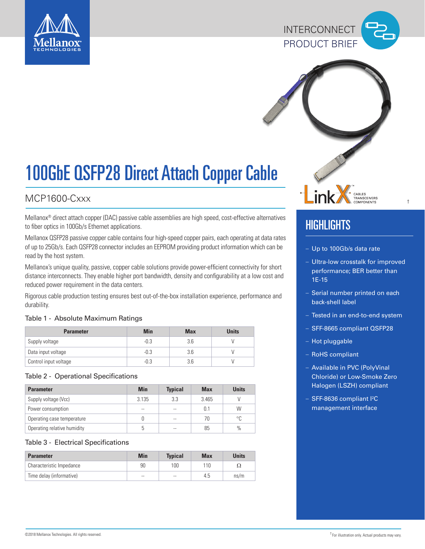





# 100GbE QSFP28 Direct Attach Copper Cable

### MCP1600-Cxxx

Mellanox® direct attach copper (DAC) passive cable assemblies are high speed, cost-effective alternatives to fiber optics in 100Gb/s Ethernet applications.

Mellanox QSFP28 passive copper cable contains four high-speed copper pairs, each operating at data rates of up to 25Gb/s. Each QSFP28 connector includes an EEPROM providing product information which can be read by the host system.

Mellanox's unique quality, passive, copper cable solutions provide power-efficient connectivity for short distance interconnects. They enable higher port bandwidth, density and configurability at a low cost and reduced power requirement in the data centers.

Rigorous cable production testing ensures best out-of-the-box installation experience, performance and durability.

### Table 1 - Absolute Maximum Ratings

| <b>Parameter</b>      | <b>Min</b> | <b>Max</b> | <b>Units</b> |
|-----------------------|------------|------------|--------------|
| Supply voltage        | $-0.3$     | 3.6        |              |
| Data input voltage    | -0.3       | 3.6        |              |
| Control input voltage | -0.3       | 3.6        |              |

### Table 2 - Operational Specifications

| <b>Parameter</b>            | Min   | <b>Typical</b> | <b>Max</b> | <b>Units</b> |
|-----------------------------|-------|----------------|------------|--------------|
| Supply voltage (Vcc)        | 3.135 | 3.3            | 3.465      |              |
| Power consumption           | --    | $\sim$         | 0.1        | W            |
| Operating case temperature  | O     | $\sim$         | 70         | °C           |
| Operating relative humidity | 5     | $\sim$         | 85         | $\%$         |

### Table 3 - Electrical Specifications

| <b>Parameter</b>         | <b>Min</b> | <b>Typical</b> | <b>Max</b> | <b>Units</b> |
|--------------------------|------------|----------------|------------|--------------|
| Characteristic Impedance | 90         | 100            | 110        | Ω            |
| Time delay (informative) | $-$        | $- -$          | 4.5        | ns/m         |

## **HIGHLIGHTS**

- Up to 100Gb/s data rate
- Ultra-low crosstalk for improved performance; BER better than 1E-15

†

- Serial number printed on each back-shell label
- Tested in an end-to-end system
- SFF-8665 compliant QSFP28
- Hot pluggable
- RoHS compliant
- Available in PVC (PolyVinal Chloride) or Low-Smoke Zero Halogen (LSZH) compliant
- SFF-8636 compliant <sup>2</sup>C management interface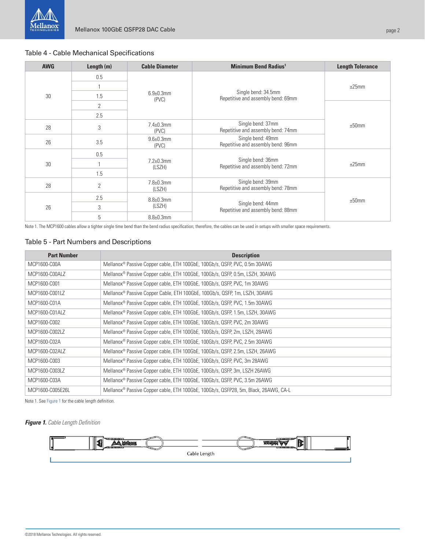### Table 4 - Cable Mechanical Specifications

| <b>AWG</b> | Length $(m)$   | <b>Cable Diameter</b>      | <b>Minimum Bend Radius<sup>1</sup></b>                             | <b>Length Tolerance</b> |
|------------|----------------|----------------------------|--------------------------------------------------------------------|-------------------------|
| 30         | 0.5            |                            | Single bend: 34.5mm<br>Repetitive and assembly bend: 69mm<br>(PVC) | ±25mm<br>±50mm          |
|            |                |                            |                                                                    |                         |
|            | 1.5            | $6.9 \pm 0.3$ mm           |                                                                    |                         |
|            | $\overline{2}$ |                            |                                                                    |                         |
|            | 2.5            |                            |                                                                    |                         |
| 28         | 3              | $7.4 \pm 0.3$ mm<br>(PVC)  | Single bend: 37mm<br>Repetitive and assembly bend: 74mm            |                         |
| 26         | 3.5            | $9.6 + 0.3$ mm<br>(PVC)    | Single bend: 49mm<br>Repetitive and assembly bend: 96mm            |                         |
| 30         | 0.5            | $7.2 \pm 0.3$ mm<br>(LSZH) | Single bend: 36mm<br>Repetitive and assembly bend: 72mm            | ±25mm                   |
|            |                |                            |                                                                    |                         |
|            | 1.5            |                            |                                                                    |                         |
| 28         | $\overline{2}$ | $7.8 + 0.3$ mm<br>(LSZH)   | Single bend: 39mm<br>Repetitive and assembly bend: 78mm            |                         |
| 26         | 2.5            | $8.8 \pm 0.3$ mm           | Single bend: 44mm<br>Repetitive and assembly bend: 88mm            | ±50mm                   |
|            | 3              | (LSZH)                     |                                                                    |                         |
|            | 5              | $8.8 \pm 0.3$ mm           |                                                                    |                         |

Note 1. The MCP1600 cables allow a tighter single time bend than the bend radius specification; therefore, the cables can be used in setups with smaller space requirements.

### Table 5 - Part Numbers and Descriptions

| <b>Part Number</b> | <b>Description</b>                                                                       |
|--------------------|------------------------------------------------------------------------------------------|
| MCP1600-C00A       | Mellanox <sup>®</sup> Passive Copper cable, ETH 100GbE, 100Gb/s, QSFP, PVC, 0.5m 30AWG   |
| MCP1600-C00ALZ     | Mellanox <sup>®</sup> Passive Copper cable, ETH 100GbE, 100Gb/s, QSFP, 0.5m, LSZH, 30AWG |
| MCP1600-C001       | Mellanox <sup>®</sup> Passive Copper cable, ETH 100GbE, 100Gb/s, QSFP, PVC, 1m 30AWG     |
| MCP1600-C001LZ     | Mellanox <sup>®</sup> Passive Copper Cable, ETH 100GbE, 100Gb/s, QSFP, 1m, LSZH, 30AWG   |
| MCP1600-C01A       | Mellanox <sup>®</sup> Passive Copper cable, ETH 100GbE, 100Gb/s, QSFP, PVC, 1.5m 30AWG   |
| MCP1600-C01ALZ     | Mellanox <sup>®</sup> Passive Copper cable, ETH 100GbE, 100Gb/s, QSFP, 1.5m, LSZH, 30AWG |
| MCP1600-C002       | Mellanox® Passive Copper cable, ETH 100GbE, 100Gb/s, QSFP, PVC, 2m 30AWG                 |
| MCP1600-C002LZ     | Mellanox® Passive Copper cable, ETH 100GbE, 100Gb/s, QSFP, 2m, LSZH, 28AWG               |
| MCP1600-C02A       | Mellanox <sup>®</sup> Passive Copper cable, ETH 100GbE, 100Gb/s, QSFP, PVC, 2.5m 30AWG   |
| MCP1600-C02ALZ     | Mellanox <sup>®</sup> Passive Copper cable, ETH 100GbE, 100Gb/s, QSFP, 2.5m, LSZH, 26AWG |
| MCP1600-C003       | Mellanox <sup>®</sup> Passive Copper cable, ETH 100GbE, 100Gb/s, QSFP, PVC, 3m 28AWG     |
| MCP1600-C003LZ     | Mellanox <sup>®</sup> Passive Copper cable, ETH 100GbE, 100Gb/s, QSFP, 3m, LSZH 26AWG    |
| MCP1600-C03A       | Mellanox® Passive Copper cable, ETH 100GbE, 100Gb/s, QSFP, PVC, 3.5m 26AWG               |
| MCP1600-C005E26L   | Mellanox® Passive Copper cable, ETH 100GbE, 100Gb/s, QSFP28, 5m, Black, 26AWG, CA-L      |

Note 1. See [Figure 1](#page-2-0) for the cable length definition.

**Figure 1.** Cable Length Definition